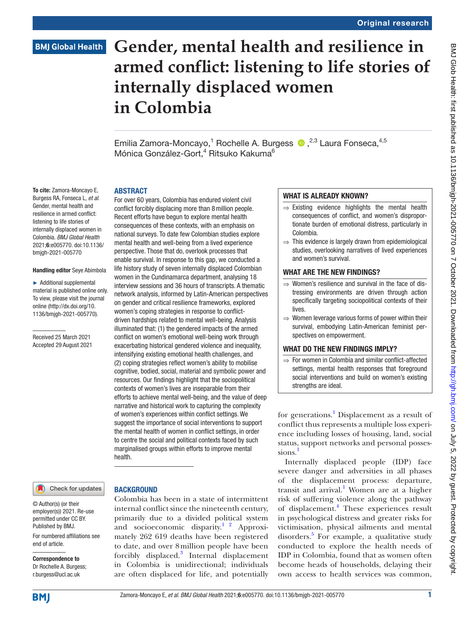# **Gender, mental health and resilience in armed conflict: listening to life stories of internally displaced women in Colombia**

Emilia Zamora-Moncayo,<sup>1</sup> Rochelle A. Burgess <sup>®</sup>,<sup>2,3</sup> Laura Fonseca,<sup>4,5</sup> Mónica González-Gort,<sup>4</sup> Ritsuko Kakuma<sup>6</sup>

To cite: Zamora-Moncayo E, Burgess RA, Fonseca L, *et al*. Gender, mental health and resilience in armed conflict: listening to life stories of internally displaced women in Colombia. *BMJ Global Health* 2021;6:e005770. doi:10.1136/ bmjgh-2021-005770

#### Handling editor Seye Abimbola

► Additional supplemental material is published online only. To view, please visit the journal online ([http://dx.doi.org/10.](http://dx.doi.org/10.1136/bmjgh-2021-005770) [1136/bmjgh-2021-005770](http://dx.doi.org/10.1136/bmjgh-2021-005770)).

Received 25 March 2021 Accepted 29 August 2021

#### **ARSTRACT**

For over 60 years, Colombia has endured violent civil conflict forcibly displacing more than 8million people. Recent efforts have begun to explore mental health consequences of these contexts, with an emphasis on national surveys. To date few Colombian studies explore mental health and well-being from a lived experience perspective. Those that do, overlook processes that enable survival. In response to this gap, we conducted a life history study of seven internally displaced Colombian women in the Cundinamarca department, analysing 18 interview sessions and 36 hours of transcripts. A thematic network analysis, informed by Latin-American perspectives on gender and critical resilience frameworks, explored women's coping strategies in response to conflictdriven hardships related to mental well-being. Analysis illuminated that: (1) the gendered impacts of the armed conflict on women's emotional well-being work through exacerbating historical gendered violence and inequality, intensifying existing emotional health challenges, and (2) coping strategies reflect women's ability to mobilise cognitive, bodied, social, material and symbolic power and resources. Our findings highlight that the sociopolitical contexts of women's lives are inseparable from their efforts to achieve mental well-being, and the value of deep narrative and historical work to capturing the complexity of women's experiences within conflict settings. We suggest the importance of social interventions to support the mental health of women in conflict settings, in order to centre the social and political contexts faced by such marginalised groups within efforts to improve mental health.

Check for updates

For numbered affiliations see

#### **BACKGROUND**

Colombia has been in a state of intermittent internal conflict since the nineteenth century, primarily due to a divided political system and socioeconomic disparity.<sup>1</sup> <sup>2</sup> Approximately 262 619 deaths have been registered to date, and over 8million people have been forcibly displaced.<sup>[3](#page-11-1)</sup> Internal displacement in Colombia is unidirectional; individuals are often displaced for life, and potentially

#### WHAT IS ALREADY KNOWN?

- $\Rightarrow$  Existing evidence highlights the mental health consequences of conflict, and women's disproportionate burden of emotional distress, particularly in Colombia.
- ⇒ This evidence is largely drawn from epidemiological studies, overlooking narratives of lived experiences and women's survival.

#### WHAT ARE THE NEW FINDINGS?

- ⇒ Women's resilience and survival in the face of distressing environments are driven through action specifically targeting sociopolitical contexts of their lives.
- ⇒ Women leverage various forms of power within their survival, embodying Latin-American feminist perspectives on empowerment.

#### WHAT DO THE NEW FINDINGS IMPLY?

⇒ For women in Colombia and similar conflict-affected settings, mental health responses that foreground social interventions and build on women's existing strengths are ideal.

for generations.<sup>1</sup> Displacement as a result of conflict thus represents a multiple loss experience including losses of housing, land, social status, support networks and personal possessions.<sup>1</sup>

Internally displaced people (IDP) face severe danger and adversities in all phases of the displacement process: departure, transit and arrival.<sup>[1](#page-11-0)</sup> Women are at a higher risk of suffering violence along the pathway of displacement.<sup>[4](#page-11-2)</sup> These experiences result in psychological distress and greater risks for victimisation, physical ailments and mental disorders.<sup>[5](#page-11-3)</sup> For example, a qualitative study conducted to explore the health needs of IDP in Colombia, found that as women often become heads of households, delaying their own access to health services was common,

end of article.

Correspondence to Dr Rochelle A. Burgess; r.burgess@ucl.ac.uk

© Author(s) (or their employer(s)) 2021. Re-use permitted under CC BY. Published by BMJ.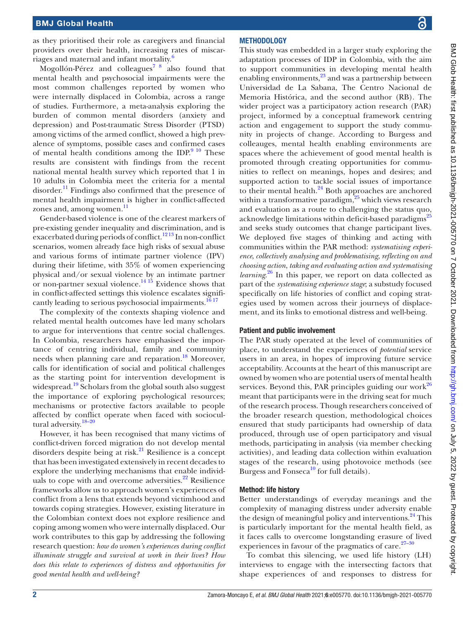as they prioritised their role as caregivers and financial providers over their health, increasing rates of miscar-riages and maternal and infant mortality.<sup>[6](#page-11-4)</sup>

Mogollón-Pérez and colleagues<sup>[7 8](#page-11-5)</sup> also found that mental health and psychosocial impairments were the most common challenges reported by women who were internally displaced in Colombia, across a range of studies. Furthermore, a meta-analysis exploring the burden of common mental disorders (anxiety and depression) and Post-traumatic Stress Disorder (PTSD) among victims of the armed conflict, showed a high prevalence of symptoms, possible cases and confirmed cases of mental health conditions among the IDP. $9^{10}$  These results are consistent with findings from the recent national mental health survey which reported that 1 in 10 adults in Colombia meet the criteria for a mental disorder. $^{11}$  Findings also confirmed that the presence of mental health impairment is higher in conflict-affected zones and, among women.<sup>[11](#page-11-7)</sup>

Gender-based violence is one of the clearest markers of pre-existing gender inequality and discrimination, and is exacerbated during periods of conflict.<sup>1213</sup> In non-conflict scenarios, women already face high risks of sexual abuse and various forms of intimate partner violence (IPV) during their lifetime, with 35% of women experiencing physical and/or sexual violence by an intimate partner or non-partner sexual violence.<sup>[14 15](#page-11-9)</sup> Evidence shows that in conflict-affected settings this violence escalates significantly leading to serious psychosocial impairments.<sup>16</sup><sup>17</sup>

The complexity of the contexts shaping violence and related mental health outcomes have led many scholars to argue for interventions that centre social challenges. In Colombia, researchers have emphasised the importance of centring individual, family and community needs when planning care and reparation.<sup>[18](#page-11-11)</sup> Moreover, calls for identification of social and political challenges as the starting point for intervention development is widespread.<sup>[19](#page-11-12)</sup> Scholars from the global south also suggest the importance of exploring psychological resources; mechanisms or protective factors available to people affected by conflict operate when faced with sociocultural adversity.[18–20](#page-11-11)

However, it has been recognised that many victims of conflict-driven forced migration do not develop mental disorders despite being at risk. $^{21}$  Resilience is a concept that has been investigated extensively in recent decades to explore the underlying mechanisms that enable individuals to cope with and overcome adversities. $2^2$  Resilience frameworks allow us to approach women's experiences of conflict from a lens that extends beyond victimhood and towards coping strategies. However, existing literature in the Colombian context does not explore resilience and coping among women who were internally displaced. Our work contributes to this gap by addressing the following research question: *how do women's experiences during conflict illuminate struggle and survival at work in their lives? How does this relate to experiences of distress and opportunities for good mental health and well-being?*

### **METHODOLOGY**

This study was embedded in a larger study exploring the adaptation processes of IDP in Colombia, with the aim to support communities in developing mental health enabling environments, $^{23}$  and was a partnership between Universidad de La Sabana, The Centro Nacional de Memoria Histórica, and the second author (RB). The wider project was a participatory action research (PAR) project, informed by a conceptual framework centring action and engagement to support the study community in projects of change. According to Burgess and colleauges, mental health enabling environments are spaces where the achievement of good mental health is promoted through creating opportunities for communities to reflect on meanings, hopes and desires; and supported action to tackle social issues of importance to their mental health.<sup>24</sup> Both approaches are anchored within a transformative paradigm, $^{25}$  which views research and evaluation as a route to challenging the status quo, acknowledge limitations within deficit-based paradigms<sup>[25](#page-11-17)</sup> and seeks study outcomes that change participant lives. We deployed five stages of thinking and acting with communities within the PAR method: *systematising experience*, *collectively analysing and problematising*, *reflecting on and choosing action*, *taking and evaluating action and systematising learning*. [26](#page-11-18) In this paper, we report on data collected as part of the *systematising experience stage*; a substudy focused specifically on life histories of conflict and coping strategies used by women across their journeys of displacement, and its links to emotional distress and well-being.

#### Patient and public involvement

The PAR study operated at the level of communities of place, to understand the experiences of *potential* service users in an area, in hopes of improving future service acceptability. Accounts at the heart of this manuscript are owned by women who are potential users of mental health services. Beyond this, PAR principles guiding our work $^{26}$ meant that participants were in the driving seat for much of the research process. Though researchers conceived of the broader research question, methodological choices ensured that study participants had ownership of data produced, through use of open participatory and visual methods, participating in analysis (via member checking activities), and leading data collection within evaluation stages of the research, using photovoice methods (see Burgess and Fonseca<sup>[10](#page-11-19)</sup> for full details).

#### Method: life history

Better understandings of everyday meanings and the complexity of managing distress under adversity enable the design of meaningful policy and interventions.<sup>24</sup> This is particularly important for the mental health field, as it faces calls to overcome longstanding erasure of lived experiences in favour of the pragmatics of care. $27-30$ 

To combat this silencing, we used life history (LH) interviews to engage with the intersecting factors that shape experiences of and responses to distress for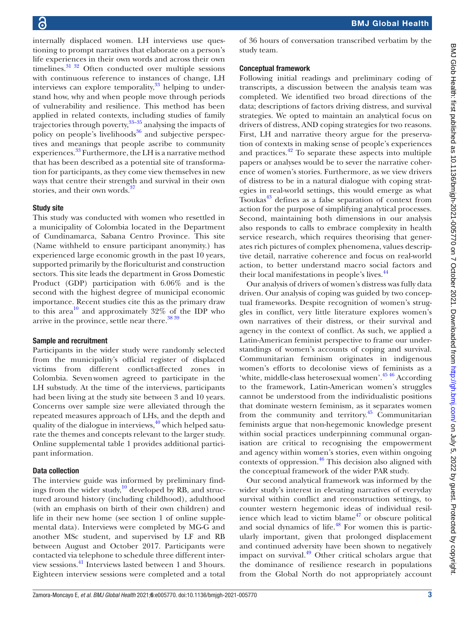internally displaced women. LH interviews use questioning to prompt narratives that elaborate on a person's life experiences in their own words and across their own timelines. $3132$  Often conducted over multiple sessions with continuous reference to instances of change, LH interviews can explore temporality, $33$  helping to understand how, why and when people move through periods of vulnerability and resilience. This method has been applied in related contexts, including studies of family trajectories through poverty,  $33-35$  analysing the impacts of policy on people's livelihoods $36$  and subjective perspectives and meanings that people ascribe to community experiences.<sup>[33](#page-11-22)</sup> Furthermore, the LH is a narrative method that has been described as a potential site of transformation for participants, as they come view themselves in new ways that centre their strength and survival in their own stories, and their own words.<sup>37</sup>

#### Study site

This study was conducted with women who resettled in a municipality of Colombia located in the Department of Cundinamarca, Sabana Centro Province. This site (Name withheld to ensure participant anonymity.) has experienced large economic growth in the past 10 years, supported primarily by the floriculturist and construction sectors. This site leads the department in Gross Domestic Product (GDP) participation with 6.06% and is the second with the highest degree of municipal economic importance. Recent studies cite this as the primary draw to this area<sup>10</sup> and approximately  $32\%$  of the IDP who arrive in the province, settle near there.<sup>38 39</sup>

#### Sample and recruitment

Participants in the wider study were randomly selected from the municipality's official register of displaced victims from different conflict-affected zones in Colombia. Sevenwomen agreed to participate in the LH substudy. At the time of the interviews, participants had been living at the study site between 3 and 10 years. Concerns over sample size were alleviated through the repeated measures approach of LHs, and the depth and quality of the dialogue in interviews, $40$  which helped saturate the themes and concepts relevant to the larger study. [Online supplemental table 1](https://dx.doi.org/10.1136/bmjgh-2021-005770) provides additional participant information.

#### Data collection

The interview guide was informed by preliminary findings from the wider study,  $\frac{10}{10}$  developed by RB, and structured around history (including childhood), adulthood (with an emphasis on birth of their own children) and life in their new home (see section 1 of [online supple](https://dx.doi.org/10.1136/bmjgh-2021-005770)[mental data\)](https://dx.doi.org/10.1136/bmjgh-2021-005770). Interviews were completed by MG-G and another MSc student, and supervised by LF and RB between August and October 2017. Participants were contacted via telephone to schedule three different interview sessions.[41](#page-11-27) Interviews lasted between 1 and 3hours. Eighteen interview sessions were completed and a total

of 36 hours of conversation transcribed verbatim by the study team.

#### Conceptual framework

Following initial readings and preliminary coding of transcripts, a discussion between the analysis team was completed. We identified two broad directions of the data; descriptions of factors driving distress, and survival strategies. We opted to maintain an analytical focus on drivers of distress, AND coping strategies for two reasons. First, LH and narrative theory argue for the preservation of contexts in making sense of people's experiences and practices. $42$  To separate these aspects into multiple papers or analyses would be to sever the narrative coherence of women's stories. Furthermore, as we view drivers of distress to be in a natural dialogue with coping strategies in real-world settings, this would emerge as what Tsoukas<sup>43</sup> defines as a false separation of context from action for the purpose of simplifying analytical processes. Second, maintaining both dimensions in our analysis also responds to calls to embrace complexity in health service research, which requires theorising that generates rich pictures of complex phenomena, values descriptive detail, narrative coherence and focus on real-world action, to better understand macro social factors and their local manifestations in people's lives.<sup>[44](#page-11-30)</sup>

Our analysis of drivers of women's distress was fully data driven. Our analysis of coping was guided by two conceptual frameworks. Despite recognition of women's struggles in conflict, very little literature explores women's own narratives of their distress, or their survival and agency in the context of conflict. As such, we applied a Latin-American feminist perspective to frame our understandings of women's accounts of coping and survival. Communitarian feminism originates in indigenous women's efforts to decolonise views of feminists as a 'white, middle-class heterosexual women'.<sup>4546</sup> According to the framework, Latin-American women's struggles cannot be understood from the individualistic positions that dominate western feminism, as it separates women from the community and territory. $45$  Communitarian feminists argue that non-hegemonic knowledge present within social practices underpinning communal organisation are critical to recognising the empowerment and agency within women's stories, even within ongoing contexts of oppression.<sup>[46](#page-11-32)</sup> This decision also aligned with the conceptual framework of the wider PAR study.

Our second analytical framework was informed by the wider study's interest in elevating narratives of everyday survival within conflict and reconstruction settings, to counter western hegemonic ideas of individual resilience which lead to victim blame $47$  or obscure political and social dynamics of life. $48$  For women this is particularly important, given that prolonged displacement and continued adversity have been shown to negatively impact on survival. $49$  Other critical scholars argue that the dominance of resilience research in populations from the Global North do not appropriately account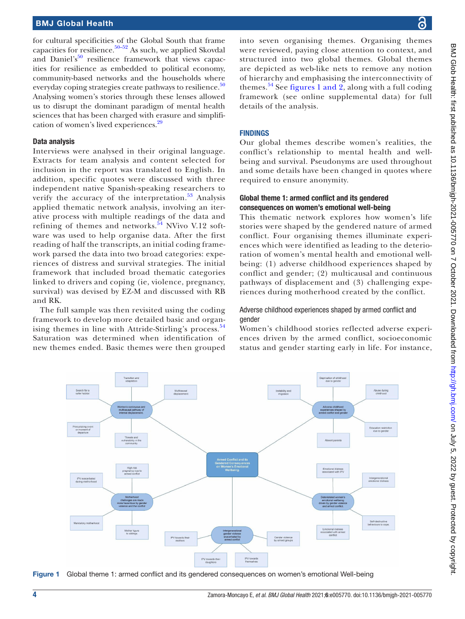for cultural specificities of the Global South that frame capacities for resilience. $50-52$  As such, we applied Skovdal and Daniel's<sup>[50](#page-11-36)</sup> resilience framework that views capacities for resilience as embedded to political economy, community-based networks and the households where everyday coping strategies create pathways to resilience.<sup>[50](#page-11-36)</sup> Analysing women's stories through these lenses allowed us to disrupt the dominant paradigm of mental health sciences that has been charged with erasure and simplifi-cation of women's lived experiences.<sup>[29](#page-11-37)</sup>

#### Data analysis

Interviews were analysed in their original language. Extracts for team analysis and content selected for inclusion in the report was translated to English. In addition, specific quotes were discussed with three independent native Spanish-speaking researchers to verify the accuracy of the interpretation. $53$  Analysis applied thematic network analysis, involving an iterative process with multiple readings of the data and refining of themes and networks. $54$  NVivo V.12 software was used to help organise data. After the first reading of half the transcripts, an initial coding framework parsed the data into two broad categories: experiences of distress and survival strategies. The initial framework that included broad thematic categories linked to drivers and coping (ie, violence, pregnancy, survival) was devised by EZ-M and discussed with RB and RK.

The full sample was then revisited using the coding framework to develop more detailed basic and organ-ising themes in line with Attride-Stirling's process.<sup>[54](#page-11-39)</sup> Saturation was determined when identification of new themes ended. Basic themes were then grouped

into seven organising themes. Organising themes were reviewed, paying close attention to context, and structured into two global themes. Global themes are depicted as web-like nets to remove any notion of hierarchy and emphasising the interconnectivity of themes.<sup>[54](#page-11-39)</sup> See [figures](#page-3-0) 1 and 2, along with a full coding framework (see [online supplemental data](https://dx.doi.org/10.1136/bmjgh-2021-005770)) for full details of the analysis.

#### FINDINGS

Our global themes describe women's realities, the conflict's relationship to mental health and wellbeing and survival. Pseudonyms are used throughout and some details have been changed in quotes where required to ensure anonymity.

#### Global theme 1: armed conflict and its gendered consequences on women's emotional well-being

This thematic network explores how women's life stories were shaped by the gendered nature of armed conflict. Four organising themes illuminate experiences which were identified as leading to the deterioration of women's mental health and emotional wellbeing: (1) adverse childhood experiences shaped by conflict and gender; (2) multicausal and continuous pathways of displacement and (3) challenging experiences during motherhood created by the conflict.

#### Adverse childhood experiences shaped by armed conflict and gender

Women's childhood stories reflected adverse experiences driven by the armed conflict, socioeconomic status and gender starting early in life. For instance,



<span id="page-3-0"></span>Figure 1 Global theme 1: armed conflict and its gendered consequences on women's emotional Well-being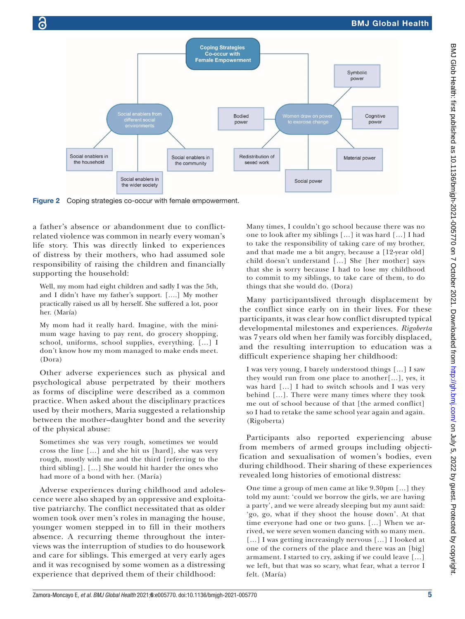

Figure 2 Coping strategies co-occur with female empowerment.

a father's absence or abandonment due to conflictrelated violence was common in nearly every woman's life story. This was directly linked to experiences of distress by their mothers, who had assumed sole responsibility of raising the children and financially supporting the household:

Well, my mom had eight children and sadly I was the 5th, and I didn't have my father's support. [….] My mother practically raised us all by herself. She suffered a lot, poor her. (María)

My mom had it really hard. Imagine, with the minimum wage having to pay rent, do grocery shopping, school, uniforms, school supplies, everything. […] I don't know how my mom managed to make ends meet. (Dora)

Other adverse experiences such as physical and psychological abuse perpetrated by their mothers as forms of discipline were described as a common practice. When asked about the disciplinary practices used by their mothers, Maria suggested a relationship between the mother–daughter bond and the severity of the physical abuse:

Sometimes she was very rough, sometimes we would cross the line […] and she hit us [hard], she was very rough, mostly with me and the third [referring to the third sibling]. […] She would hit harder the ones who had more of a bond with her. (María)

Adverse experiences during childhood and adolescence were also shaped by an oppressive and exploitative patriarchy. The conflict necessitated that as older women took over men's roles in managing the house, younger women stepped in to fill in their mothers absence. A recurring theme throughout the interviews was the interruption of studies to do housework and care for siblings. This emerged at very early ages and it was recognised by some women as a distressing experience that deprived them of their childhood:

Many times, I couldn't go school because there was no one to look after my siblings […] it was hard […] I had to take the responsibility of taking care of my brother, and that made me a bit angry, because a [12-year old] child doesn't understand […] She [her mother] says that she is sorry because I had to lose my childhood to commit to my siblings, to take care of them, to do things that she would do. (Dora)

Many participantslived through displacement by the conflict since early on in their lives. For these participants, it was clear how conflict disrupted typical developmental milestones and experiences. *Rigoberta* was 7 years old when her family was forcibly displaced, and the resulting interruption to education was a difficult experience shaping her childhood:

I was very young, I barely understood things […] I saw they would run from one place to another[…], yes, it was hard […] I had to switch schools and I was very behind […]. There were many times where they took me out of school because of that [the armed conflict] so I had to retake the same school year again and again. (Rigoberta)

Participants also reported experiencing abuse from members of armed groups including objectification and sexualisation of women's bodies, even during childhood. Their sharing of these experiences revealed long histories of emotional distress:

One time a group of men came at like 9.30pm […] they told my aunt: 'could we borrow the girls, we are having a party', and we were already sleeping but my aunt said: 'go, go, what if they shoot the house down'. At that time everyone had one or two guns. […] When we arrived, we were seven women dancing with so many men. [...] I was getting increasingly nervous [...] I looked at one of the corners of the place and there was an [big] armament. I started to cry, asking if we could leave […] we left, but that was so scary, what fear, what a terror I felt. (María)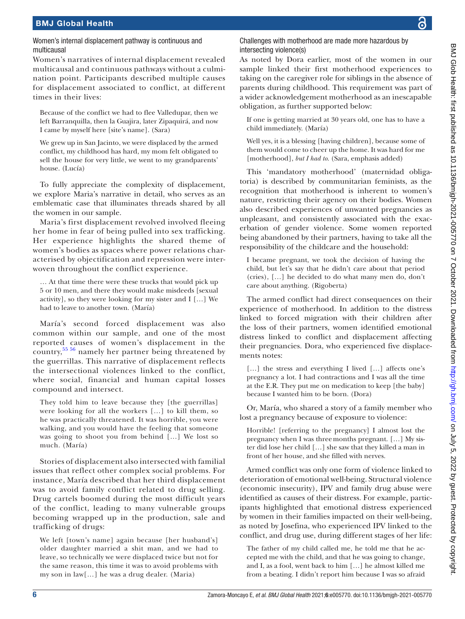### Women's internal displacement pathway is continuous and multicausal

Women's narratives of internal displacement revealed multicausal and continuous pathways without a culmination point. Participants described multiple causes for displacement associated to conflict, at different times in their lives:

Because of the conflict we had to flee Valledupar, then we left Barranquilla, then la Guajira, later Zipaquirá, and now I came by myself here [site's name]. (Sara)

We grew up in San Jacinto, we were displaced by the armed conflict, my childhood has hard, my mom felt obligated to sell the house for very little, we went to my grandparents' house. (Lucía)

To fully appreciate the complexity of displacement, we explore Maria's narrative in detail, who serves as an emblematic case that illuminates threads shared by all the women in our sample.

Maria's first displacement revolved involved fleeing her home in fear of being pulled into sex trafficking. Her experience highlights the shared theme of women's bodies as spaces where power relations characterised by objectification and repression were interwoven throughout the conflict experience.

… At that time there were these trucks that would pick up 5 or 10 men, and there they would make misdeeds [sexual activity], so they were looking for my sister and I […] We had to leave to another town. (María)

María's second forced displacement was also common within our sample, and one of the most reported causes of women's displacement in the country,[55 56](#page-11-40) namely her partner being threatened by the guerrillas. This narrative of displacement reflects the intersectional violences linked to the conflict, where social, financial and human capital losses compound and intersect.

They told him to leave because they [the guerrillas] were looking for all the workers […] to kill them, so he was practically threatened. It was horrible, you were walking, and you would have the feeling that someone was going to shoot you from behind […] We lost so much. (María)

Stories of displacement also intersected with familial issues that reflect other complex social problems. For instance, María described that her third displacement was to avoid family conflict related to drug selling. Drug cartels boomed during the most difficult years of the conflict, leading to many vulnerable groups becoming wrapped up in the production, sale and trafficking of drugs:

We left [town's name] again because [her husband's] older daughter married a shit man, and we had to leave, so technically we were displaced twice but not for the same reason, this time it was to avoid problems with my son in law[…] he was a drug dealer. (Maria)

Challenges with motherhood are made more hazardous by intersecting violence(s)

As noted by Dora earlier, most of the women in our sample linked their first motherhood experiences to taking on the caregiver role for siblings in the absence of parents during childhood. This requirement was part of a wider acknowledgement motherhood as an inescapable obligation, as further supported below:

If one is getting married at 30 years old, one has to have a child immediately. (María)

Well yes, it is a blessing [having children], because some of them would come to cheer up the home. It was hard for me [motherhood], *but I had to*. (Sara, emphasis added)

This 'mandatory motherhood' (maternidad obligatoria) is described by communitarian feminists, as the recognition that motherhood is inherent to women's nature, restricting their agency on their bodies. Women also described experiences of unwanted pregnancies as unpleasant, and consistently associated with the exacerbation of gender violence. Some women reported being abandoned by their partners, having to take all the responsibility of the childcare and the household:

I became pregnant, we took the decision of having the child, but let's say that he didn't care about that period (cries), […] he decided to do what many men do, don't care about anything. (Rigoberta)

The armed conflict had direct consequences on their experience of motherhood. In addition to the distress linked to forced migration with their children after the loss of their partners, women identified emotional distress linked to conflict and displacement affecting their pregnancies. Dora, who experienced five displacements notes:

[...] the stress and everything I lived [...] affects one's pregnancy a lot. I had contractions and I was all the time at the E.R. They put me on medication to keep [the baby] because I wanted him to be born. (Dora)

Or, María, who shared a story of a family member who lost a pregnancy because of exposure to violence:

Horrible! [referring to the pregnancy] I almost lost the pregnancy when I was threemonths pregnant. […] My sister did lose her child […] she saw that they killed a man in front of her house, and she filled with nerves.

Armed conflict was only one form of violence linked to deterioration of emotional well-being. Structural violence (economic insecurity), IPV and family drug abuse were identified as causes of their distress. For example, participants highlighted that emotional distress experienced by women in their families impacted on their well-being, as noted by Josefina, who experienced IPV linked to the conflict, and drug use, during different stages of her life:

The father of my child called me, he told me that he accepted me with the child, and that he was going to change, and I, as a fool, went back to him […] he almost killed me from a beating. I didn't report him because I was so afraid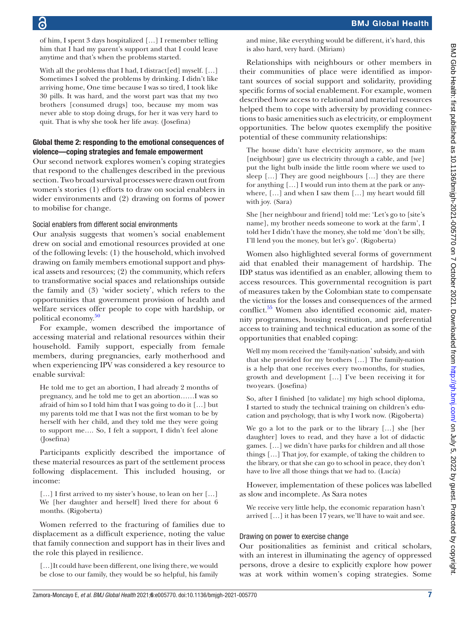of him, I spent 3 days hospitalized […] I remember telling him that I had my parent's support and that I could leave anytime and that's when the problems started.

With all the problems that I had, I distract[ed] myself. [...] Sometimes I solved the problems by drinking. I didn't like arriving home, One time because I was so tired, I took like 30 pills. It was hard, and the worst part was that my two brothers [consumed drugs] too, because my mom was never able to stop doing drugs, for her it was very hard to quit. That is why she took her life away. (Josefina)

#### Global theme 2: responding to the emotional consequences of violence—coping strategies and female empowerment

Our second network explores women's coping strategies that respond to the challenges described in the previous section. Two broad survival processes were drawn out from women's stories (1) efforts to draw on social enablers in wider environments and (2) drawing on forms of power to mobilise for change.

#### Social enablers from different social environments

Our analysis suggests that women's social enablement drew on social and emotional resources provided at one of the following levels: (1) the household, which involved drawing on family members emotional support and physical assets and resources; (2) the community, which refers to transformative social spaces and relationships outside the family and (3) 'wider society', which refers to the opportunities that government provision of health and welfare services offer people to cope with hardship, or political economy.<sup>[50](#page-11-36)</sup>

For example, women described the importance of accessing material and relational resources within their household. Family support, especially from female members, during pregnancies, early motherhood and when experiencing IPV was considered a key resource to enable survival:

He told me to get an abortion, I had already 2 months of pregnancy, and he told me to get an abortion……I was so afraid of him so I told him that I was going to do it […] but my parents told me that I was not the first woman to be by herself with her child, and they told me they were going to support me…. So, I felt a support, I didn't feel alone (Josefina)

Participants explicitly described the importance of these material resources as part of the settlement process following displacement. This included housing, or income:

[...] I first arrived to my sister's house, to lean on her [...] We [her daughter and herself] lived there for about 6 months. (Rigoberta)

Women referred to the fracturing of families due to displacement as a difficult experience, noting the value that family connection and support has in their lives and the role this played in resilience.

[…]It could have been different, one living there, we would be close to our family, they would be so helpful, his family

and mine, like everything would be different, it's hard, this is also hard, very hard. (Miriam)

Relationships with neighbours or other members in their communities of place were identified as important sources of social support and solidarity, providing specific forms of social enablement. For example, women described how access to relational and material resources helped them to cope with adversity by providing connections to basic amenities such as electricity, or employment opportunities. The below quotes exemplify the positive potential of these community relationships:

The house didn't have electricity anymore, so the mam [neighbour] gave us electricity through a cable, and [we] put the light bulb inside the little room where we used to sleep […] They are good neighbours […] they are there for anything […] I would run into them at the park or anywhere, […] and when I saw them […] my heart would fill with joy. (Sara)

She [her neighbour and friend] told me: 'Let's go to [site's name], my brother needs someone to work at the farm', I told her I didn't have the money, she told me 'don't be silly, I'll lend you the money, but let's go'. (Rigoberta)

Women also highlighted several forms of government aid that enabled their management of hardship. The IDP status was identified as an enabler, allowing them to access resources. This governmental recognition is part of measures taken by the Colombian state to compensate the victims for the losses and consequences of the armed conflict[.55](#page-11-40) Women also identified economic aid, maternity programmes, housing restitution, and preferential access to training and technical education as some of the opportunities that enabled coping:

Well my mom received the 'family-nation' subsidy, and with that she provided for my brothers […] The family-nation is a help that one receives every twomonths, for studies, growth and development […] I've been receiving it for twoyears. (Josefina)

So, after I finished [to validate] my high school diploma, I started to study the technical training on children's education and psychology, that is why I work now. (Rigoberta)

We go a lot to the park or to the library […] she [her daughter] loves to read, and they have a lot of didactic games. […] we didn't have parks for children and all those things […] That joy, for example, of taking the children to the library, or that she can go to school in peace, they don't have to live all those things that we had to. (Lucía)

However, implementation of these polices was labelled as slow and incomplete. As Sara notes

We receive very little help, the economic reparation hasn't arrived […] it has been 17 years, we'll have to wait and see.

#### Drawing on power to exercise change

Our positionalities as feminist and critical scholars, with an interest in illuminating the agency of oppressed persons, drove a desire to explicitly explore how power was at work within women's coping strategies. Some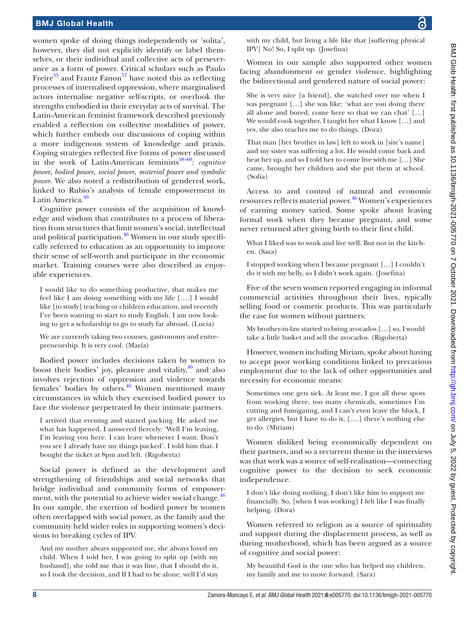women spoke of doing things independently or 'solita', however, they did not explicitly identify or label themselves, or their individual and collective acts of perseverance as a form of power. Critical scholars such as Paulo Freire<sup>55</sup> and Frantz Fanon<sup>57</sup> have noted this as reflecting processes of internalised oppression, where marginalised actors internalise negative self-scripts, or overlook the strengths embodied in their everyday acts of survival. The Latin-American feminist framework described previously enabled a reflection on collective modalities of power, which further embeds our discussions of coping within a more indigenous system of knowledge and praxis. Coping strategies reflected five forms of power discussed in the work of Latin-American feminists<sup>58–60</sup>: *cognitive power*, *bodied power*, *social power*, *material power and symbolic power*. We also noted a redistribution of gendered work, linked to Rubio's analysis of female empowerment in Latin America.<sup>[46](#page-11-32)</sup>

Cognitive power consists of the acquisition of knowledge and wisdom that contributes to a process of liberation from structures that limit women's social, intellectual and political participation. $46$  Women in our study specifically referred to education as an opportunity to improve their sense of self-worth and participate in the economic market. Training courses were also described as enjoyable experiences.

I would like to do something productive, that makes me feel like I am doing something with my life [….] I would like [to study] teaching or children education, and recently I've been wanting to start to study English, I am now looking to get a scholarship to go to study far abroad. (Lucía)

We are currently taking two courses, gastronomy and entrepreneurship. It is very cool. (María)

Bodied power includes decisions taken by women to boost their bodies' joy, pleasure and vitality,  $46$  and also involves rejection of oppression and violence towards females' bodies by others.<sup>46</sup> Women mentioned many circumstances in which they exercised bodied power to face the violence perpetrated by their intimate partners.

I arrived that evening and started packing. He asked me what has happened. I answered fiercely: 'Well I'm leaving, I'm leaving you here. I can leave whenever I want. Don't you see I already have my things packed'. I told him that. I bought the ticket at 8pm and left. (Rigoberta)

Social power is defined as the development and strengthening of friendships and social networks that bridge individual and community forms of empower-ment, with the potential to achieve wider social change.<sup>[46](#page-11-32)</sup> In our sample, the exertion of bodied power by women often overlapped with social power, as the family and the community held wider roles in supporting women's decisions to breaking cycles of IPV.

And my mother always supported me, she always loved my child. When I told her, I was going to split up [with my husband], she told me that it was fine, that I should do it, so I took the decision, and If I had to be alone, well I'd stay

with my child, but living a life like that [suffering physical IPV] No! So, I split up. (Josefina)

Women in our sample also supported other women facing abandonment or gender violence, highlighting the bidirectional and gendered nature of social power:

She is very nice [a friend], she watched over me when I was pregnant […] she was like: 'what are you doing there all alone and bored, come here so that we can chat' […] We would cook together, I taught her what I know […] and yes, she also teaches me to do things. (Dora)

That man [her brother in law] left to work in [site's name] and my sister was suffering a lot. He would come back and beat her up, and so I told her to come live with me […] She came, brought her children and she put them at school. (Sofia)

Access to and control of natural and economic resources reflects material power.<sup>[46](#page-11-32)</sup> Women's experiences of earning money varied. Some spoke about leaving formal work when they became pregnant, and some never returned after giving birth to their first child.

What I liked was to work and live well. But not in the kitchen. (Sara)

I stopped working when I became pregnant […] I couldn't do it with my belly, so I didn't work again. (Josefina)

Five of the seven women reported engaging in informal commercial activities throughout their lives, typically selling food or cosmetic products. This was particularly the case for women without partners:

My brother-in-law started to bring avocados […] so, I would take a little basket and sell the avocados. (Rigoberta)

However, women including Miriam, spoke about having to accept poor working conditions linked to precarious employment due to the lack of other opportunities and necessity for economic means:

Sometimes one gets sick. At least me, I got all these spots from working there, too many chemicals, sometimes I'm cutting and fumigating, and I can't even leave the block, I get allergies, but I have to do it, [….] there's nothing else to do. (Miriam)

Women disliked being economically dependent on their partners, and so a recurrent theme in the interviews was that work was a source of self-realisation—connecting cognitive power to the decision to seek economic independence.

I don't like doing nothing, I don't like him to support me financially. So, [when I was working] I felt like I was finally helping. (Dora)

Women referred to religion as a source of spirituality and support during the displacement process, as well as during motherhood, which has been argued as a source of cognitive and social power:

My beautiful God is the one who has helped my children, my family and me to move forward. (Sara)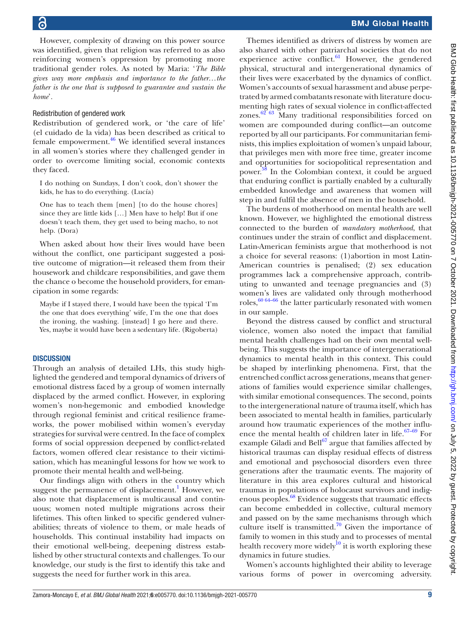However, complexity of drawing on this power source was identified, given that religion was referred to as also reinforcing women's oppression by promoting more traditional gender roles. As noted by Maria: '*The Bible gives way more emphasis and importance to the father…the father is the one that is supposed to guarantee and sustain the home*'*.*

#### Redistribution of gendered work

Redistribution of gendered work, or 'the care of life' (el cuidado de la vida) has been described as critical to female empowerment. $46$  We identified several instances in all women's stories where they challenged gender in order to overcome limiting social, economic contexts they faced.

I do nothing on Sundays, I don't cook, don't shower the kids, he has to do everything. (Lucía)

One has to teach them [men] [to do the house chores] since they are little kids […] Men have to help! But if one doesn't teach them, they get used to being macho, to not help. (Dora)

When asked about how their lives would have been without the conflict, one participant suggested a positive outcome of migration—it released them from their housework and childcare responsibilities, and gave them the chance o become the household providers, for emancipation in some regards:

Maybe if I stayed there, I would have been the typical 'I'm the one that does everything' wife, I'm the one that does the ironing, the washing. [instead] I go here and there. Yes, maybe it would have been a sedentary life. (Rigoberta)

#### **DISCUSSION**

Through an analysis of detailed LHs, this study highlighted the gendered and temporal dynamics of drivers of emotional distress faced by a group of women internally displaced by the armed conflict. However, in exploring women's non-hegemonic and embodied knowledge through regional feminist and critical resilience frameworks, the power mobilised within women's everyday strategies for survival were centred. In the face of complex forms of social oppression deepened by conflict-related factors, women offered clear resistance to their victimisation, which has meaningful lessons for how we work to promote their mental health and well-being.

Our findings align with others in the country which suggest the permanence of displacement.<sup>[1](#page-11-0)</sup> However, we also note that displacement is multicausal and continuous; women noted multiple migrations across their lifetimes. This often linked to specific gendered vulnerabilities; threats of violence to them, or male heads of households. This continual instability had impacts on their emotional well-being, deepening distress established by other structural contexts and challenges. To our knowledge, our study is the first to identify this take and suggests the need for further work in this area.

Themes identified as drivers of distress by women are also shared with other patriarchal societies that do not experience active conflict. $61$  However, the gendered physical, structural and intergenerational dynamics of their lives were exacerbated by the dynamics of conflict. Women's accounts of sexual harassment and abuse perpetrated by armed combatants resonate with literature documenting high rates of sexual violence in conflict-affected zones. $6263$  Many traditional responsibilities forced on women are compounded during conflict—an outcome reported by all our participants. For communitarian feminists, this implies exploitation of women's unpaid labour, that privileges men with more free time, greater income and opportunities for sociopolitical representation and power.<sup>[58](#page-12-0)</sup> In the Colombian context, it could be argued that enduring conflict is partially enabled by a culturally embedded knowledge and awareness that women will step in and fulfil the absence of men in the household.

The burdens of motherhood on mental health are well known. However, we highlighted the emotional distress connected to the burden of *mandatory motherhood*, that continues under the strain of conflict and displacement. Latin-American feminists argue that motherhood is not a choice for several reasons: (1)abortion in most Latin-American countries is penalised; (2) sex education programmes lack a comprehensive approach, contributing to unwanted and teenage pregnancies and (3) women's lives are validated only through motherhood roles,  $60\frac{64-66}{h}$  the latter particularly resonated with women in our sample.

Beyond the distress caused by conflict and structural violence, women also noted the impact that familial mental health challenges had on their own mental wellbeing. This suggests the importance of intergenerational dynamics to mental health in this context. This could be shaped by interlinking phenomena. First, that the entrenched conflict across generations, means that generations of families would experience similar challenges, with similar emotional consequences. The second, points to the intergenerational nature of trauma itself, which has been associated to mental health in families, particularly around how traumatic experiences of the mother influence the mental health of children later in life.<sup>67-69</sup> For example Giladi and Bell $^{67}$  $^{67}$  $^{67}$  argue that families affected by historical traumas can display residual effects of distress and emotional and psychosocial disorders even three generations after the traumatic events. The majority of literature in this area explores cultural and historical traumas in populations of holocaust survivors and indigenous peoples.<sup>68</sup> Evidence suggests that traumatic effects can become embedded in collective, cultural memory and passed on by the same mechanisms through which culture itself is transmitted.<sup>70</sup> Given the importance of family to women in this study and to processes of mental health recovery more widely<sup>10</sup> it is worth exploring these dynamics in future studies.

Women's accounts highlighted their ability to leverage various forms of power in overcoming adversity.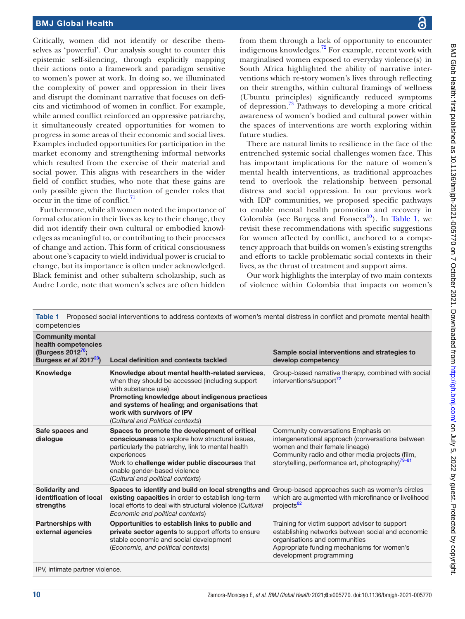Critically, women did not identify or describe themselves as 'powerful'. Our analysis sought to counter this epistemic self-silencing, through explicitly mapping their actions onto a framework and paradigm sensitive to women's power at work. In doing so, we illuminated the complexity of power and oppression in their lives and disrupt the dominant narrative that focuses on deficits and victimhood of women in conflict. For example, while armed conflict reinforced an oppressive patriarchy, it simultaneously created opportunities for women to progress in some areas of their economic and social lives. Examples included opportunities for participation in the market economy and strengthening informal networks which resulted from the exercise of their material and social power. This aligns with researchers in the wider field of conflict studies, who note that these gains are only possible given the fluctuation of gender roles that  $\alpha$  occur in the time of conflict.<sup>[71](#page-12-7)</sup>

Furthermore, while all women noted the importance of formal education in their lives as key to their change, they did not identify their own cultural or embodied knowledges as meaningful to, or contributing to their processes of change and action. This form of critical consciousness about one's capacity to wield individual power is crucial to change, but its importance is often under acknowledged. Black feminist and other subaltern scholarship, such as Audre Lorde, note that women's selves are often hidden

from them through a lack of opportunity to encounter indigenous knowledges.<sup>72</sup> For example, recent work with marginalised women exposed to everyday violence(s) in South Africa highlighted the ability of narrative interventions which re-story women's lives through reflecting on their strengths, within cultural framings of wellness (Ubuntu principles) significantly reduced symptoms of depression.[73](#page-12-9) Pathways to developing a more critical awareness of women's bodied and cultural power within the spaces of interventions are worth exploring within future studies.

There are natural limits to resilience in the face of the entrenched systemic social challenges women face. This has important implications for the nature of women's mental health interventions, as traditional approaches tend to overlook the relationship between personal distress and social oppression. In our previous work with IDP communities, we proposed specific pathways to enable mental health promotion and recovery in Colombia (see Burgess and Fonseca<sup>10</sup>). In [Table](#page-9-0) 1, we revisit these recommendations with specific suggestions for women affected by conflict, anchored to a competency approach that builds on women's existing strengths and efforts to tackle problematic social contexts in their lives, as the thrust of treatment and support aims.

Our work highlights the interplay of two main contexts of violence within Colombia that impacts on women's

<span id="page-9-0"></span>

| Proposed social interventions to address contexts of women's mental distress in conflict and promote mental health<br>Table 1<br>competencies |                                                                                                                                                                                                                                                                                                  |                                                                                                                                                                                                                                                |
|-----------------------------------------------------------------------------------------------------------------------------------------------|--------------------------------------------------------------------------------------------------------------------------------------------------------------------------------------------------------------------------------------------------------------------------------------------------|------------------------------------------------------------------------------------------------------------------------------------------------------------------------------------------------------------------------------------------------|
| <b>Community mental</b><br>health competencies<br>(Burgess 2012 <sup>78</sup> ;<br>Burgess et al 2017 <sup>23</sup> )                         | <b>Local definition and contexts tackled</b>                                                                                                                                                                                                                                                     | Sample social interventions and strategies to<br>develop competency                                                                                                                                                                            |
| Knowledge                                                                                                                                     | Knowledge about mental health-related services,<br>when they should be accessed (including support<br>with substance use)<br>Promoting knowledge about indigenous practices<br>and systems of healing; and organisations that<br>work with survivors of IPV<br>(Cultural and Political contexts) | Group-based narrative therapy, combined with social<br>interventions/support <sup>72</sup>                                                                                                                                                     |
| Safe spaces and<br>dialogue                                                                                                                   | Spaces to promote the development of critical<br>consciousness to explore how structural issues,<br>particularly the patriarchy, link to mental health<br>experiences<br>Work to challenge wider public discourses that<br>enable gender-based violence<br>(Cultural and political contexts)     | Community conversations Emphasis on<br>intergenerational approach (conversations between<br>women and their female lineage)<br>Community radio and other media projects (film,<br>storytelling, performance art, photography) <sup>79-81</sup> |
| <b>Solidarity and</b><br>identification of local<br>strengths                                                                                 | Spaces to identify and build on local strengths and Group-based approaches such as women's circles<br>existing capacities in order to establish long-term<br>local efforts to deal with structural violence (Cultural<br>Economic and political contexts)                                        | which are augmented with microfinance or livelihood<br>projects <sup>82</sup>                                                                                                                                                                  |
| <b>Partnerships with</b><br>external agencies                                                                                                 | Opportunities to establish links to public and<br>private sector agents to support efforts to ensure<br>stable economic and social development<br>(Economic, and political contexts)                                                                                                             | Training for victim support advisor to support<br>establishing networks between social and economic<br>organisations and communities<br>Appropriate funding mechanisms for women's<br>development programming                                  |
| IPV, intimate partner violence.                                                                                                               |                                                                                                                                                                                                                                                                                                  |                                                                                                                                                                                                                                                |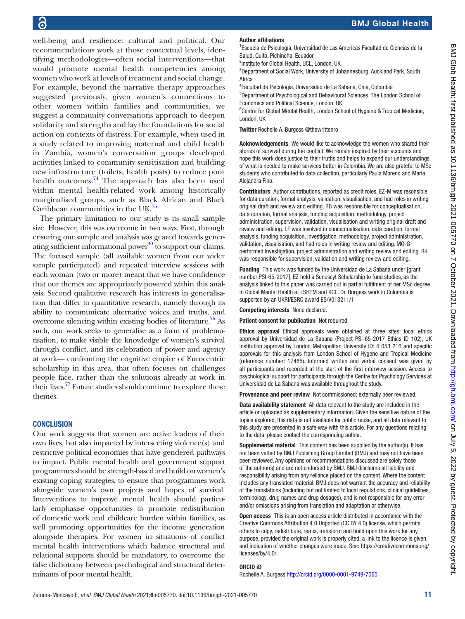well-being and resilience: cultural and political. Our recommendations work at those contextual levels, identifying methodologies—often social interventions—that would promote mental health competencies among women who work at levels of treatment and social change. For example, beyond the narrative therapy approaches suggested previously, given women's connections to other women within families and communities, we suggest a community conversations approach to deepen solidarity and strengths and lay the foundations for social action on contexts of distress. For example, when used in a study related to improving maternal and child health in Zambia, women's conversation groups developed activities linked to community sensitisation and building new infrastructure (toilets, health posts) to reduce poor health outcomes. $^{74}$  $^{74}$  $^{74}$  The approach has also been used within mental health-related work among historically marginalised groups, such as Black African and Black Caribbean communities in the UK.<sup>[75](#page-12-14)</sup>

The primary limitation to our study is its small sample size. However, this was overcome in two ways. First, through ensuring our sample and analysis was geared towards generating sufficient informational power<sup>40</sup> to support our claims. The focused sample (all available women from our wider sample participated) and repeated interview sessions with each woman (two or more) meant that we have confidence that our themes are appropriately powered within this analysis. Second qualitative research has interests in generalisation that differ to quantitative research, namely through its ability to communicate alternative voices and truths, and overcome silencing within existing bodies of literature.<sup>76</sup> As such, our work seeks to generalise as a form of problematisation, to make visible the knowledge of women's survival through conflict, and its celebration of power and agency at work— confronting the cognitive empire of Eurocentric scholarship in this area, that often focuses on challenges people face, rather than the solutions already at work in their lives.<sup>77</sup> Future studies should continue to explore these themes.

#### **CONCLUSION**

Our work suggests that women are active leaders of their own lives, but also impacted by intersecting violence(s) and restrictive political economies that have gendered pathways to impact. Public mental health and government support programmes should be strength-based and build on women's existing coping strategies, to ensure that programmes work alongside women's own projects and hopes of survival. Interventions to improve mental health should particularly emphasise opportunities to promote redistribution of domestic work and childcare burden within families, as well promoting opportunities for the income generation alongside therapies. For women in situations of conflict mental health interventions which balance structural and relational supports should be mandatory, to overcome the false dichotomy between psychological and structural determinants of poor mental health.

#### Author affiliations

1 Escuela de Psicología, Universidad de Las Americas Facultad de Ciencias de la Salud, Quito, Pichincha, Ecuador

<sup>2</sup>Institute for Global Health, UCL, London, UK

3 Department of Social Work, University of Johannesburg, Auckland Park, South Africa

4 Facultad de Psicología, Universidad de La Sabana, Chia, Colombia

5 Department of Psychological and Behavioural Sciences, The London School of Economics and Political Science, London, UK

<sup>6</sup> Centre for Global Mental Health, London School of Hygiene & Tropical Medicine, London, UK

Twitter Rochelle A. Burgess [@thewrittenro](https://twitter.com/thewrittenro)

Acknowledgements We would like to acknowledge the women who shared their stories of survival during the conflict. We remain inspired by their accounts and hope this work does justice to their truths and helps to expand our understandings of what is needed to make services better in Colombia. We are also grateful to MSc students who contributed to data collection, particularly Paula Moreno and Maria Alejandra Fino.

Contributors Author contributions, reported as credit roles. EZ-M was resonsible for data curation, formal analysis, validation, visualisation, and had roles in writing original draft and review and editing. RB was responsible for conceptualisation, data curation, formal analysis, funding acquisition, methodology, project administration, supervision, validation, visualisation and writing original draft and review and editing. LF was involved in conceptualisation, data curation, formal analysis, funding acquisition, investigation, methodology, project administration, validation, visualisation, and had roles in writing review and editing. MG-G performed investigation, project administration and writing review and editing. RK was responsible for supervision, validation and writing review and editing.

Funding This work was funded by the Universidad de La Sabana under [grant number PSI-65-2017]. EZ held a Senescyt Scholarship to fund studies, as the analysis linked to this paper was carried out in partial fulfilment of her MSc degree in Global Mental Health at LSHTM and KCL. Dr. Burgess work in Colombia is supported by an UKRI/ESRC award ES/V013211/1

Competing interests None declared.

Patient consent for publication Not required.

Ethics approval Ethical approvals were obtained at three sites: local ethics approval by Universidad de La Sabana (Project PSI-65-2017 Ethics ID 102), UK institution approval by London Metropolitan University ID: 4 053 216 and specific approvals for this analysis from London School of Hygene and Tropical Medicine (reference number: 17485). Informed written and verbal consent was given by all participants and recorded at the start of the first interview session. Access to psychological support for participants through the Centre for Psychology Services at Universidad de La Sabana was available throughout the study.

Provenance and peer review Not commissioned; externally peer reviewed.

Data availability statement All data relevant to the study are included in the article or uploaded as supplementary information. Given the sensitive nature of the topics explored, this data is not available for public reuse, and all data relevant to this study are presented in a safe way with this article. For any questions relating to the data, please contact the corresponding author.

Supplemental material This content has been supplied by the author(s). It has not been vetted by BMJ Publishing Group Limited (BMJ) and may not have been peer-reviewed. Any opinions or recommendations discussed are solely those of the author(s) and are not endorsed by BMJ. BMJ disclaims all liability and responsibility arising from any reliance placed on the content. Where the content includes any translated material, BMJ does not warrant the accuracy and reliability of the translations (including but not limited to local regulations, clinical guidelines, terminology, drug names and drug dosages), and is not responsible for any error and/or omissions arising from translation and adaptation or otherwise.

Open access This is an open access article distributed in accordance with the Creative Commons Attribution 4.0 Unported (CC BY 4.0) license, which permits others to copy, redistribute, remix, transform and build upon this work for any purpose, provided the original work is properly cited, a link to the licence is given, and indication of whether changes were made. See: [https://creativecommons.org/](https://creativecommons.org/licenses/by/4.0/) [licenses/by/4.0/](https://creativecommons.org/licenses/by/4.0/).

#### ORCID iD

Rochelle A. Burgess<http://orcid.org/0000-0001-9749-7065>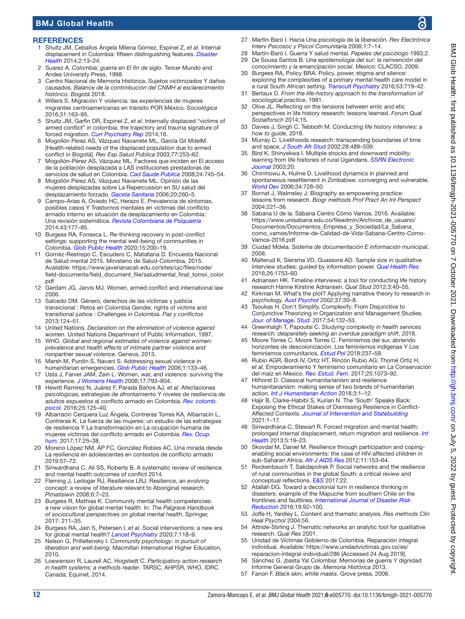#### **REFERENCES**

- <span id="page-11-0"></span>1 Shultz JM, Ceballos Ángela Milena Gómez, Espinel Z, *et al*. Internal displacement in Colombia: fifteen distinguishing features. *[Disaster](http://dx.doi.org/10.4161/dish.27885)  [Health](http://dx.doi.org/10.4161/dish.27885)* 2014;2:13–24.
- 2 Suarez A. *Colombia: guerra en El fin de siglo*. Tercer Mundo and Andes University Press, 1998.
- <span id="page-11-1"></span>3 Centro Nacional de Memoría Histórica. Sujetos victimizados Y daños causados. *Balance de la contrinbución del CNMH al esclarecimiento histórico. Bogotá* 2018.
- <span id="page-11-2"></span>4 Willers S. Migración Y violencia: las experiencias de mujeres migrantes centroamericanas en tránsito POR México. *Sociológica* 2016;31:163–95.
- <span id="page-11-3"></span>5 Shultz JM, Garfin DR, Espinel Z, *et al*. Internally displaced "victims of armed conflict" in colombia: the trajectory and trauma signature of forced migration. *[Curr Psychiatry Rep](http://dx.doi.org/10.1007/s11920-014-0475-7)* 2014;16.
- <span id="page-11-4"></span>6 Mogollón Pérez AS, Vázquez Navarrete ML, García Gil MdelM. [Health-related needs of the displaced population due to armed conflict in Bogotá]. *Rev Esp Salud Publica* 2003;77:253–62.
- <span id="page-11-5"></span>7 Mogollón-Pérez AS, Vázquez ML. Factores que inciden en El acceso de la población desplazada a LAS instituciones prestadoras de servicios de salud en Colombia. *[Cad Saude Publica](http://dx.doi.org/10.1590/S0102-311X2008000400004)* 2008;24:745–54.
- 8 Mogollón Pérez AS, Vázquez Navarrete ML. Opinión de las mujeres desplazadas sobre La Repercussion en SU salud del desplazamiento forzado. *[Gaceta Sanitaria](http://dx.doi.org/10.1157/13091139)* 2006;20:260–5.
- <span id="page-11-6"></span>9 Campo-Arias A, Oviedo HC, Herazo E. Prevalencia de síntomas, posibles casos Y Trastornos mentales en víctimas del conflicto armado interno en situación de desplazamiento en Colombia: Una revisión sistemática. *[Revista Colombiana de Psiquiatría](http://dx.doi.org/10.1016/j.rcp.2014.07.003)* 2014;43:177–85.
- <span id="page-11-19"></span>10 Burgess RA, Fonseca L. Re-thinking recovery in post-conflict settings: supporting the mental well-being of communities in Colombia. *[Glob Public Health](http://dx.doi.org/10.1080/17441692.2019.1663547)* 2020;15:200–19.
- <span id="page-11-7"></span>11 Goméz-Restrepo C, Escudero C, Matallana D. Encuesta Nacional de Salud mental 2015. Ministerio de Salud-Colombia, 2015. Available: [https://www.javerianacali.edu.co/sites/ujc/files/node/](https://www.javerianacali.edu.co/sites/ujc/files/node/field-documents/field_document_file/saludmental_final_tomoi_color.pdf) [field-documents/field\\_document\\_file/saludmental\\_final\\_tomoi\\_color.](https://www.javerianacali.edu.co/sites/ujc/files/node/field-documents/field_document_file/saludmental_final_tomoi_color.pdf) [pdf](https://www.javerianacali.edu.co/sites/ujc/files/node/field-documents/field_document_file/saludmental_final_tomoi_color.pdf)
- <span id="page-11-8"></span>12 Gardam JG, Jarvis MJ. Women, armed conflict and international law 2006.
- 13 Salcedo DM. Género, derechos de las víctimas y justicia transicional : Retos en Colombia Gender, rights of victims and transitional justice : Challenges in Colombia. *Paz y conflictos* 2013:124–51.
- <span id="page-11-9"></span>14 United Nations. *Declaration on the elimination of violence against women*. United Nations Department of Public Information, 1997.
- 15 WHO. *Global and regional estimates of violence against women: prevalence and health effects of intimate partner violence and nonpartner sexual violence*. Geneva, 2013.
- <span id="page-11-10"></span>16 Marsh M, Purdin S, Navani S. Addressing sexual violence in humanitarian emergencies. *[Glob Public Health](http://dx.doi.org/10.1080/17441690600652787)* 2006;1:133–46.
- 17 Usta J, Farver JAM, Zein L. Women, war, and violence: surviving the experience. *[J Womens Health](http://dx.doi.org/10.1089/jwh.2007.0602)* 2008;17:793–804.
- <span id="page-11-11"></span>18 Hewitt Ramírez N, Juárez F, Parada Baños AJ, *et al*. Afectaciones psicológicas, estrategias de afrontamiento Y niveles de resiliencia de adultos expuestos al conflicto armado en Colombia. *[Rev. colomb.](http://dx.doi.org/10.15446/rcp.v25n1.49966)  [psicol.](http://dx.doi.org/10.15446/rcp.v25n1.49966)* 2016;25:125–40.
- <span id="page-11-12"></span>19 Albarracín Cerquera Luz Ángela, Contreras Torres KA, Albarracín L, Contreras K. La fuerza de las mujeres: un estudio de las estrategias de resiliencia Y La transformación en La ocupación humana de mujeres víctimas del conflicto armado en Colombia. *[Rev. Ocup.](http://dx.doi.org/10.25214/25907816.154)  [hum.](http://dx.doi.org/10.25214/25907816.154)* 2017;17:25–38.
- 20 Moreno López NM, ÁP FC, González Robles AC. Una mirada desde La resiliencia en adolescentes en contextos de conflicto armado 2019:57–72.
- <span id="page-11-13"></span>21 Siriwardhana C, Ali SS, Roberts B. A systematic review of resilience and mental health outcomes of conflict 2014.
- <span id="page-11-14"></span>22 Fleming J, Ledogar RJ, Resilience LRJ. Resilience, an evolving concept: a review of literature relevant to Aboriginal research. *Pimatisiwin* 2008;6:7–23.
- <span id="page-11-15"></span>23 Burgess R, Mathias K. Community mental health competencies: a new vision for global mental health. In: *The Palgrave Handbook of sociocultural perspectives on global mental health*. Springer, 2017: 211–35.
- <span id="page-11-16"></span>24 Burgess RA, Jain S, Petersen I, *et al*. Social interventions: a new era for global mental health? *[Lancet Psychiatry](http://dx.doi.org/10.1016/S2215-0366(19)30397-9)* 2020;7:118–9.
- <span id="page-11-17"></span>25 Nelson G, Prilleltensky I. *Community psychology: in pursuit of liberation and well-being*. Macmillan International Higher Education, 2010.
- <span id="page-11-18"></span>26 Loewenson R, Laurell AC, Hogstedt C. *Participatory action research in health systems: a methods reader*. TARSC, AHPSR, WHO, IDRC Canada, Equinet, 2014.
- <span id="page-11-20"></span>27 Martín-Baró I. Hacia Una psicología de la liberación. *Rev Electrónica Interv Psicosoc y Psicol Comunitaria* 2006;1:7–14.
- <span id="page-11-37"></span>28 Martín-Baró I. Guerra Y salud mental. *Papeles del psicólogo* 1993;2. 29 De Sousa Santos B. *Una epistemología del sur: la reinvención del*
- *conocimiento y la emancipación social*. Mexico: CLACSO, 2009. 30 Burgess RA, Policy BRA. Policy, power, stigma and silence: exploring the complexities of a primary mental health care model in
- <span id="page-11-21"></span>a rural South African setting. *[Transcult Psychiatry](http://dx.doi.org/10.1177/1363461516679056)* 2016;53:719–42. 31 Bertaux D. *From the life-history approach to the transformation of sociological practice*, 1981.
- 32 Olive JL. Reflecting on the tensions between emic and etic perspectives in life history research: lessons learned. *Forum Qual Sozialforsch* 2014;15.
- <span id="page-11-22"></span>33 Davies J, Singh C, Tebboth M. *Conducting life history interviws: a how to guide*, 2018.
- 34 Murray C. Livelihoods research: transcending boundaries of time and space. *[J South Afr Stud](http://dx.doi.org/10.1080/0305707022000006486)* 2002;28:489–509.
- 35 Bird K, Shinyekwa I. Multiple shocks and downward mobility: learning from life histories of rural Ugandans. *[SSRN Electronic](http://dx.doi.org/10.2139/ssrn.1754417)  [Journal](http://dx.doi.org/10.2139/ssrn.1754417)* 2003;20.
- <span id="page-11-23"></span>36 Chimhowu A, Hulme D. Livelihood dynamics in planned and spontaneous resettlement in Zimbabwe: converging and vulnerable. *[World Dev](http://dx.doi.org/10.1016/j.worlddev.2005.08.011)* 2006;34:728–50.
- <span id="page-11-24"></span>37 Bornat J, Walmsley J. Biography as empowering practice: lessons from research. *Biogr methods Prof Pract An Int Perspect* 2004:221–36.
- <span id="page-11-25"></span>38 Sabana U de la. Sábana Centro Cómo Vamos, 2016. Available: [https://www.unisabana.edu.co/fileadmin/Archivos\\_de\\_usuario/](https://www.unisabana.edu.co/fileadmin/Archivos_de_usuario/Documentos/Documentos_Empresa_y_Sociedad/La_Sabana_como_vamos/Informe-de-Calidad-de-Vida-Sabana-Centro-Como-Vamos-2016.pdf) [Documentos/Documentos\\_Empresa\\_y\\_Sociedad/La\\_Sabana\\_](https://www.unisabana.edu.co/fileadmin/Archivos_de_usuario/Documentos/Documentos_Empresa_y_Sociedad/La_Sabana_como_vamos/Informe-de-Calidad-de-Vida-Sabana-Centro-Como-Vamos-2016.pdf) [como\\_vamos/Informe-de-Calidad-de-Vida-Sabana-Centro-Como-](https://www.unisabana.edu.co/fileadmin/Archivos_de_usuario/Documentos/Documentos_Empresa_y_Sociedad/La_Sabana_como_vamos/Informe-de-Calidad-de-Vida-Sabana-Centro-Como-Vamos-2016.pdf)[Vamos-2016.pdf](https://www.unisabana.edu.co/fileadmin/Archivos_de_usuario/Documentos/Documentos_Empresa_y_Sociedad/La_Sabana_como_vamos/Informe-de-Calidad-de-Vida-Sabana-Centro-Como-Vamos-2016.pdf)
- 39 Ciudad Mdela. *Sistema de documentación E información municipal*, 2008.
- <span id="page-11-26"></span>40 Malterud K, Siersma VD, Guassora AD. Sample size in qualitative interview studies: guided by information power. *[Qual Health Res](http://dx.doi.org/10.1177/1049732315617444)* 2016;26:1753–60.
- <span id="page-11-27"></span>41 Adriansen HK. Timeline interviews: a tool for conducting life history research Hanne Kirstine Adriansen. *Qual Stud* 2012;3:40–55.
- <span id="page-11-28"></span>42 Kirkman M. What's the plot? Applying narrative theory to research in psychology. *[Aust Psychol](http://dx.doi.org/10.1080/00050060210001706646)* 2002;37:30–8.
- <span id="page-11-29"></span>43 Tsoukas H. Don't Simplify, Complexify: From Disjunctive to Conjunctive Theorizing in Organization and Management Studies. *[Jour. of Manage. Stud.](http://dx.doi.org/10.1111/joms.12219)* 2017;54:132–53.
- <span id="page-11-30"></span>44 Greenhalgh T, Papoutsi C. *Studying complexity in health services research: desperately seeking an overdue paradigm shift*, 2018.
- <span id="page-11-31"></span>45 Moore Torres C, Moore Torres C. Feminismos del sur, abriendo horizontes de descolonización. Los feminismos indígenas Y Los feminismos comunitarios. *[Estud Pol](http://dx.doi.org/10.17533/udea.espo.n53a11)* 2018:237–59.
- <span id="page-11-32"></span>46 Rubio AGR, Bordi IV, Ortíz HT, Rincón Rubio AG, Thomé Ortíz H, *et al*. Empoderamiento Y feminismo comunitario en La Conservación del maíz en México. *[Rev. Estud. Fem.](http://dx.doi.org/10.1590/1806-9584.2017v25n3p1073)* 2017;25:1073–92.
- <span id="page-11-33"></span>47 Hilhorst D. Classical humanitarianism and resilience humanitarianism: making sense of two brands of humanitarian action. *[Int J Humanitarian Action](http://dx.doi.org/10.1186/s41018-018-0043-6)* 2018;3:1–12.
- <span id="page-11-34"></span>48 Hajir B, Clarke-Habibi S, Kurian N. The 'South' Speaks Back: Exposing the Ethical Stakes of Dismissing Resilience in Conflict-Affected Contexts. *[Journal of Intervention and Statebuilding](http://dx.doi.org/10.1080/17502977.2020.1860608)* 2021:1–17.
- <span id="page-11-35"></span>49 Siriwardhana C, Stewart R. Forced migration and mental health: prolonged internal displacement, return migration and resilience. *[Int](http://dx.doi.org/10.1093/inthealth/ihs014)  [Health](http://dx.doi.org/10.1093/inthealth/ihs014)* 2013;5:19–23.
- <span id="page-11-36"></span>50 Skovdal M, Daniel M. Resilience through participation and copingenabling social environments: the case of HIV-affected children in sub-Saharan Africa. *[Afr J AIDS Res](http://dx.doi.org/10.2989/16085906.2012.734975)* 2012;11:153–64.
- 51 Rockenbauch T, Sakdapolrak P. Social networks and the resilience of rural communities in the global South: a critical review and conceptual reflections. *[E&S](http://dx.doi.org/10.5751/ES-09009-220110)* 2017;22.
- 52 Atallah DG. Toward a decolonial turn in resilience thinking in disasters: example of the Mapuche from southern Chile on the frontlines and faultlines. *[International Journal of Disaster Risk](http://dx.doi.org/10.1016/j.ijdrr.2016.08.027)  [Reduction](http://dx.doi.org/10.1016/j.ijdrr.2016.08.027)* 2016;19:92–100.
- <span id="page-11-38"></span>53 Joffe H, Yardley L. Content and thematic analysis. *Res methods Clin Heal Psychol* 2004;56.
- <span id="page-11-39"></span>54 Attride-Stirling J. Thematic networks an analytic tool for qualitative research. *Qual Res* 2001.
- <span id="page-11-40"></span>55 Unidad de Víctimas Gobierno de Colombia. Reparación integral individual. Available: [https://www.unidadvictimas.gov.co/es/](https://www.unidadvictimas.gov.co/es/reparacion-integral-individual/286) [reparacion-integral-individual/286](https://www.unidadvictimas.gov.co/es/reparacion-integral-individual/286) [Accessed 24 Aug 2019].
- 56 Sánchez G. ¡basta Ya! Colombia: Memorias de guerra Y dignidad Informe General Grupo de. *Memoria Histórica* 2013.
- <span id="page-11-41"></span>57 Fanon F. *Black skin, white masks*. Grove press, 2008.